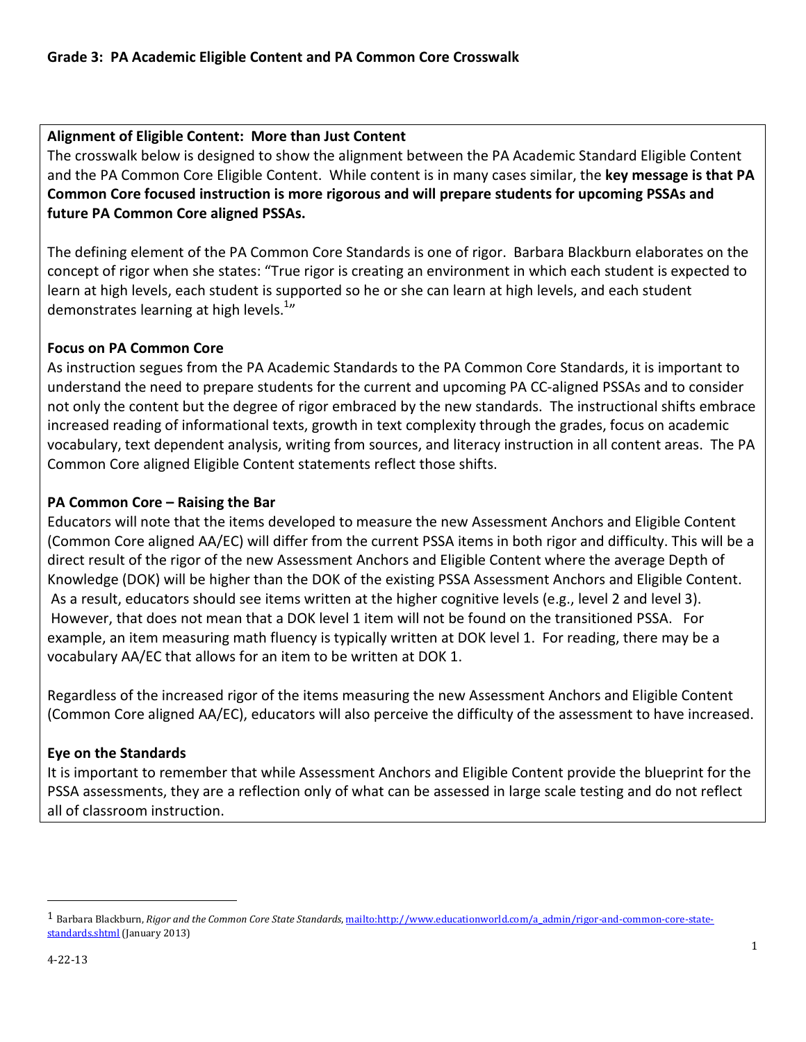## Alignment of Eligible Content: More than Just Content

The crosswalk below is designed to show the alignment between the PA Academic Standard Eligible Content and the PA Common Core Eligible Content. While content is in many cases similar, the key message is that PA Common Core focused instruction is more rigorous and will prepare students for upcoming PSSAs and future PA Common Core aligned PSSAs.

The defining element of the PA Common Core Standards is one of rigor. Barbara Blackburn elaborates on the concept of rigor when she states: "True rigor is creating an environment in which each student is expected to learn at high levels, each student is supported so he or she can learn at high levels, and each student demonstrates learning at high levels.<sup>1</sup>"

## Focus on PA Common Core

As instruction segues from the PA Academic Standards to the PA Common Core Standards, it is important to understand the need to prepare students for the current and upcoming PA CC-aligned PSSAs and to consider not only the content but the degree of rigor embraced by the new standards. The instructional shifts embrace increased reading of informational texts, growth in text complexity through the grades, focus on academic vocabulary, text dependent analysis, writing from sources, and literacy instruction in all content areas. The PA Common Core aligned Eligible Content statements reflect those shifts.

## PA Common Core – Raising the Bar

Educators will note that the items developed to measure the new Assessment Anchors and Eligible Content (Common Core aligned AA/EC) will differ from the current PSSA items in both rigor and difficulty. This will be a direct result of the rigor of the new Assessment Anchors and Eligible Content where the average Depth of Knowledge (DOK) will be higher than the DOK of the existing PSSA Assessment Anchors and Eligible Content. As a result, educators should see items written at the higher cognitive levels (e.g., level 2 and level 3). However, that does not mean that a DOK level 1 item will not be found on the transitioned PSSA. For example, an item measuring math fluency is typically written at DOK level 1. For reading, there may be a vocabulary AA/EC that allows for an item to be written at DOK 1.

Regardless of the increased rigor of the items measuring the new Assessment Anchors and Eligible Content (Common Core aligned AA/EC), educators will also perceive the difficulty of the assessment to have increased.

## Eye on the Standards

It is important to remember that while Assessment Anchors and Eligible Content provide the blueprint for the PSSA assessments, they are a reflection only of what can be assessed in large scale testing and do not reflect all of classroom instruction.

 $\overline{a}$ 

<sup>&</sup>lt;sup>1</sup> Barbara Blackburn, Rigor and the Common Core State Standards, mailto:http://www.educationworld.com/a\_admin/rigor-and-common-core-statestandards.shtml (January 2013)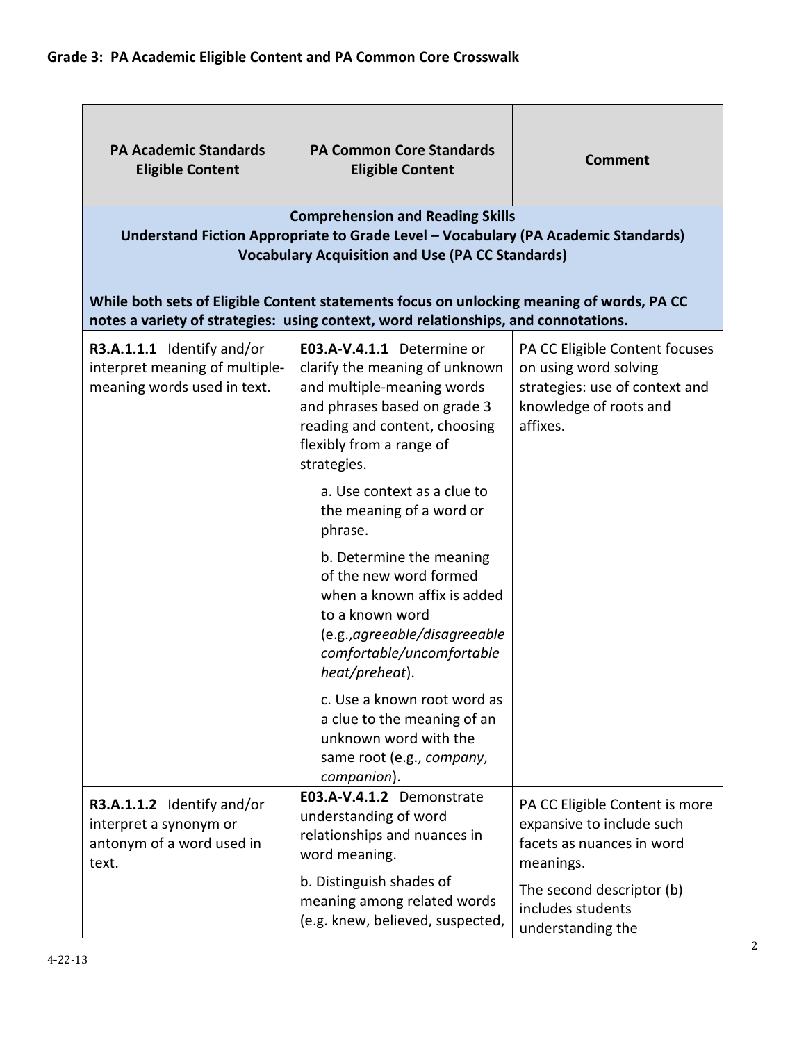| <b>PA Academic Standards</b><br><b>Eligible Content</b>                                     | <b>PA Common Core Standards</b><br><b>Eligible Content</b><br><b>Comprehension and Reading Skills</b><br>Understand Fiction Appropriate to Grade Level - Vocabulary (PA Academic Standards)<br><b>Vocabulary Acquisition and Use (PA CC Standards)</b> | <b>Comment</b>                                                                                                                  |
|---------------------------------------------------------------------------------------------|--------------------------------------------------------------------------------------------------------------------------------------------------------------------------------------------------------------------------------------------------------|---------------------------------------------------------------------------------------------------------------------------------|
|                                                                                             | While both sets of Eligible Content statements focus on unlocking meaning of words, PA CC<br>notes a variety of strategies: using context, word relationships, and connotations.                                                                       |                                                                                                                                 |
| R3.A.1.1.1 Identify and/or<br>interpret meaning of multiple-<br>meaning words used in text. | E03.A-V.4.1.1 Determine or<br>clarify the meaning of unknown<br>and multiple-meaning words<br>and phrases based on grade 3<br>reading and content, choosing<br>flexibly from a range of<br>strategies.                                                 | PA CC Eligible Content focuses<br>on using word solving<br>strategies: use of context and<br>knowledge of roots and<br>affixes. |
|                                                                                             | a. Use context as a clue to<br>the meaning of a word or<br>phrase.                                                                                                                                                                                     |                                                                                                                                 |
|                                                                                             | b. Determine the meaning<br>of the new word formed<br>when a known affix is added<br>to a known word<br>(e.g., agreeable/disagreeable<br>comfortable/uncomfortable<br>heat/preheat).                                                                   |                                                                                                                                 |
|                                                                                             | c. Use a known root word as<br>a clue to the meaning of an<br>unknown word with the<br>same root (e.g., company,<br>companion).                                                                                                                        |                                                                                                                                 |
| R3.A.1.1.2 Identify and/or<br>interpret a synonym or<br>antonym of a word used in<br>text.  | E03.A-V.4.1.2 Demonstrate<br>understanding of word<br>relationships and nuances in<br>word meaning.                                                                                                                                                    | PA CC Eligible Content is more<br>expansive to include such<br>facets as nuances in word<br>meanings.                           |
|                                                                                             | b. Distinguish shades of<br>meaning among related words<br>(e.g. knew, believed, suspected,                                                                                                                                                            | The second descriptor (b)<br>includes students<br>understanding the                                                             |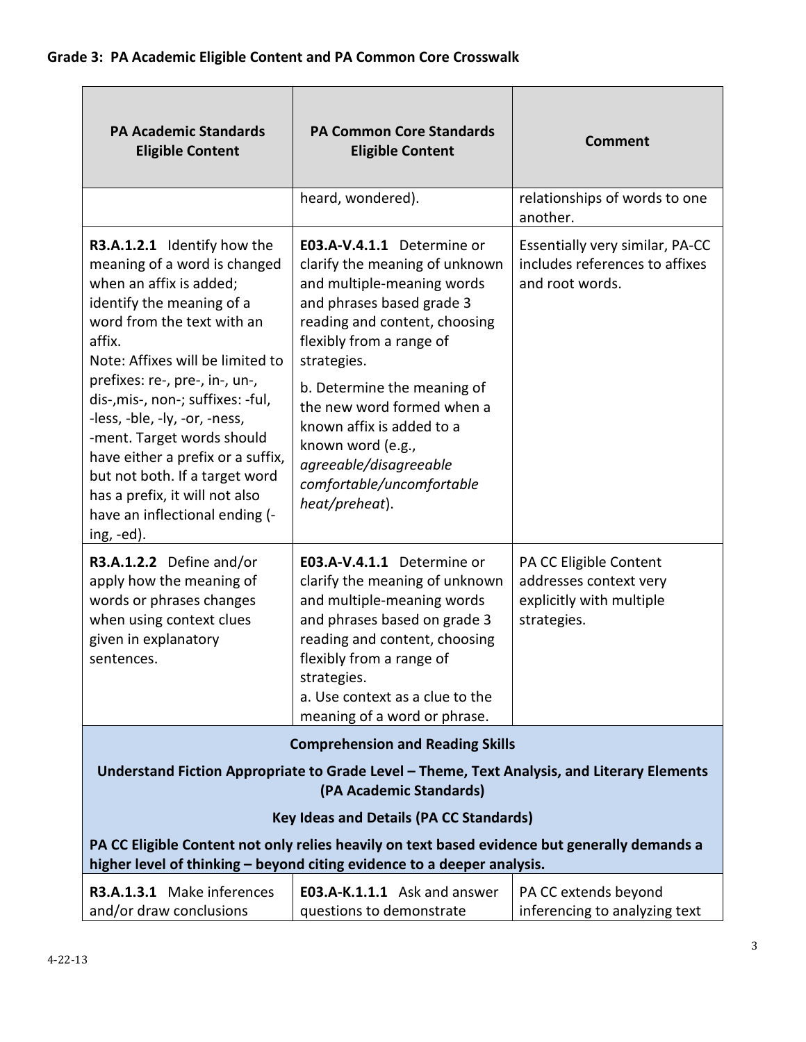| <b>PA Academic Standards</b><br><b>Eligible Content</b>                                                                                                                                                                                                                                                                                                                                                                                                                                       | <b>PA Common Core Standards</b><br><b>Eligible Content</b>                                                                                                                                                                                                                                                                                                                                  | <b>Comment</b>                                                                              |
|-----------------------------------------------------------------------------------------------------------------------------------------------------------------------------------------------------------------------------------------------------------------------------------------------------------------------------------------------------------------------------------------------------------------------------------------------------------------------------------------------|---------------------------------------------------------------------------------------------------------------------------------------------------------------------------------------------------------------------------------------------------------------------------------------------------------------------------------------------------------------------------------------------|---------------------------------------------------------------------------------------------|
|                                                                                                                                                                                                                                                                                                                                                                                                                                                                                               | heard, wondered).                                                                                                                                                                                                                                                                                                                                                                           | relationships of words to one<br>another.                                                   |
| R3.A.1.2.1 Identify how the<br>meaning of a word is changed<br>when an affix is added;<br>identify the meaning of a<br>word from the text with an<br>affix.<br>Note: Affixes will be limited to<br>prefixes: re-, pre-, in-, un-,<br>dis-,mis-, non-; suffixes: -ful,<br>-less, -ble, -ly, -or, -ness,<br>-ment. Target words should<br>have either a prefix or a suffix,<br>but not both. If a target word<br>has a prefix, it will not also<br>have an inflectional ending (-<br>ing, -ed). | E03.A-V.4.1.1 Determine or<br>clarify the meaning of unknown<br>and multiple-meaning words<br>and phrases based grade 3<br>reading and content, choosing<br>flexibly from a range of<br>strategies.<br>b. Determine the meaning of<br>the new word formed when a<br>known affix is added to a<br>known word (e.g.,<br>agreeable/disagreeable<br>comfortable/uncomfortable<br>heat/preheat). | Essentially very similar, PA-CC<br>includes references to affixes<br>and root words.        |
| R3.A.1.2.2 Define and/or<br>apply how the meaning of<br>words or phrases changes<br>when using context clues<br>given in explanatory<br>sentences.                                                                                                                                                                                                                                                                                                                                            | E03.A-V.4.1.1 Determine or<br>clarify the meaning of unknown<br>and multiple-meaning words<br>and phrases based on grade 3<br>reading and content, choosing<br>flexibly from a range of<br>strategies.<br>a. Use context as a clue to the<br>meaning of a word or phrase.                                                                                                                   | PA CC Eligible Content<br>addresses context very<br>explicitly with multiple<br>strategies. |
|                                                                                                                                                                                                                                                                                                                                                                                                                                                                                               | <b>Comprehension and Reading Skills</b>                                                                                                                                                                                                                                                                                                                                                     |                                                                                             |
| Understand Fiction Appropriate to Grade Level - Theme, Text Analysis, and Literary Elements<br>(PA Academic Standards)                                                                                                                                                                                                                                                                                                                                                                        |                                                                                                                                                                                                                                                                                                                                                                                             |                                                                                             |
|                                                                                                                                                                                                                                                                                                                                                                                                                                                                                               | <b>Key Ideas and Details (PA CC Standards)</b>                                                                                                                                                                                                                                                                                                                                              |                                                                                             |
| PA CC Eligible Content not only relies heavily on text based evidence but generally demands a<br>higher level of thinking - beyond citing evidence to a deeper analysis.                                                                                                                                                                                                                                                                                                                      |                                                                                                                                                                                                                                                                                                                                                                                             |                                                                                             |
| R3.A.1.3.1 Make inferences<br>and/or draw conclusions                                                                                                                                                                                                                                                                                                                                                                                                                                         | E03.A-K.1.1.1 Ask and answer<br>questions to demonstrate                                                                                                                                                                                                                                                                                                                                    | PA CC extends beyond<br>inferencing to analyzing text                                       |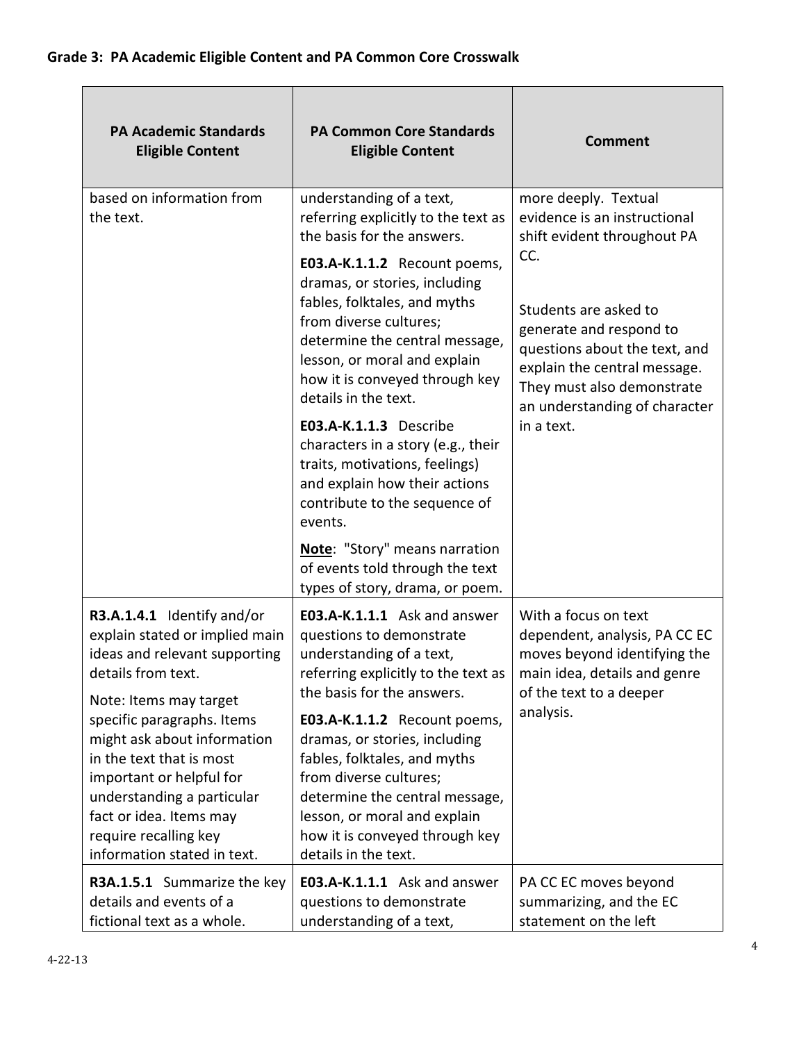| <b>PA Academic Standards</b><br><b>Eligible Content</b>                                                                                                                                                                            | <b>PA Common Core Standards</b><br><b>Eligible Content</b>                                                                                                                                                                                                                    | <b>Comment</b>                                                                                                                                                                                        |
|------------------------------------------------------------------------------------------------------------------------------------------------------------------------------------------------------------------------------------|-------------------------------------------------------------------------------------------------------------------------------------------------------------------------------------------------------------------------------------------------------------------------------|-------------------------------------------------------------------------------------------------------------------------------------------------------------------------------------------------------|
| based on information from<br>the text.                                                                                                                                                                                             | understanding of a text,<br>referring explicitly to the text as<br>the basis for the answers.                                                                                                                                                                                 | more deeply. Textual<br>evidence is an instructional<br>shift evident throughout PA                                                                                                                   |
|                                                                                                                                                                                                                                    | E03.A-K.1.1.2 Recount poems,<br>dramas, or stories, including<br>fables, folktales, and myths<br>from diverse cultures;<br>determine the central message,<br>lesson, or moral and explain<br>how it is conveyed through key<br>details in the text.<br>E03.A-K.1.1.3 Describe | CC.<br>Students are asked to<br>generate and respond to<br>questions about the text, and<br>explain the central message.<br>They must also demonstrate<br>an understanding of character<br>in a text. |
|                                                                                                                                                                                                                                    | characters in a story (e.g., their<br>traits, motivations, feelings)<br>and explain how their actions<br>contribute to the sequence of<br>events.                                                                                                                             |                                                                                                                                                                                                       |
|                                                                                                                                                                                                                                    | Note: "Story" means narration<br>of events told through the text<br>types of story, drama, or poem.                                                                                                                                                                           |                                                                                                                                                                                                       |
| R3.A.1.4.1 Identify and/or<br>explain stated or implied main<br>ideas and relevant supporting<br>details from text.<br>Note: Items may target                                                                                      | E03.A-K.1.1.1 Ask and answer<br>questions to demonstrate<br>understanding of a text,<br>referring explicitly to the text as  <br>the basis for the answers.                                                                                                                   | With a focus on text<br>dependent, analysis, PA CC EC<br>moves beyond identifying the<br>main idea, details and genre<br>of the text to a deeper                                                      |
| specific paragraphs. Items<br>might ask about information<br>in the text that is most<br>important or helpful for<br>understanding a particular<br>fact or idea. Items may<br>require recalling key<br>information stated in text. | E03.A-K.1.1.2 Recount poems,<br>dramas, or stories, including<br>fables, folktales, and myths<br>from diverse cultures;<br>determine the central message,<br>lesson, or moral and explain<br>how it is conveyed through key<br>details in the text.                           | analysis.                                                                                                                                                                                             |
| R3A.1.5.1 Summarize the key<br>details and events of a<br>fictional text as a whole.                                                                                                                                               | E03.A-K.1.1.1 Ask and answer<br>questions to demonstrate<br>understanding of a text,                                                                                                                                                                                          | PA CC EC moves beyond<br>summarizing, and the EC<br>statement on the left                                                                                                                             |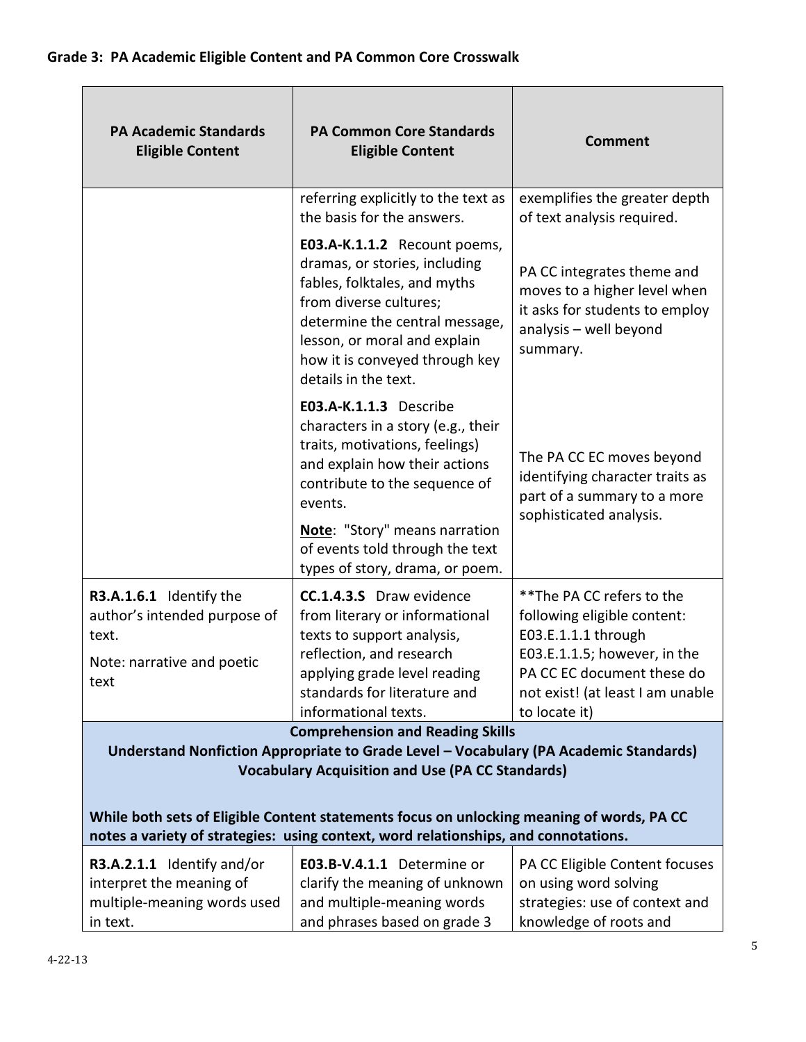| <b>PA Academic Standards</b><br><b>Eligible Content</b>                                                                                                                                                                                                                                  | <b>PA Common Core Standards</b><br><b>Eligible Content</b>                                                                                                                                                                                          | <b>Comment</b>                                                                                                                                                                                      |
|------------------------------------------------------------------------------------------------------------------------------------------------------------------------------------------------------------------------------------------------------------------------------------------|-----------------------------------------------------------------------------------------------------------------------------------------------------------------------------------------------------------------------------------------------------|-----------------------------------------------------------------------------------------------------------------------------------------------------------------------------------------------------|
|                                                                                                                                                                                                                                                                                          | referring explicitly to the text as<br>the basis for the answers.                                                                                                                                                                                   | exemplifies the greater depth<br>of text analysis required.                                                                                                                                         |
|                                                                                                                                                                                                                                                                                          | E03.A-K.1.1.2 Recount poems,<br>dramas, or stories, including<br>fables, folktales, and myths<br>from diverse cultures;<br>determine the central message,<br>lesson, or moral and explain<br>how it is conveyed through key<br>details in the text. | PA CC integrates theme and<br>moves to a higher level when<br>it asks for students to employ<br>analysis - well beyond<br>summary.                                                                  |
|                                                                                                                                                                                                                                                                                          | E03.A-K.1.1.3 Describe<br>characters in a story (e.g., their<br>traits, motivations, feelings)<br>and explain how their actions<br>contribute to the sequence of<br>events.                                                                         | The PA CC EC moves beyond<br>identifying character traits as<br>part of a summary to a more<br>sophisticated analysis.                                                                              |
|                                                                                                                                                                                                                                                                                          | Note: "Story" means narration<br>of events told through the text<br>types of story, drama, or poem.                                                                                                                                                 |                                                                                                                                                                                                     |
| R3.A.1.6.1 Identify the<br>author's intended purpose of<br>text.<br>Note: narrative and poetic<br>text                                                                                                                                                                                   | <b>CC.1.4.3.S</b> Draw evidence<br>from literary or informational<br>texts to support analysis,<br>reflection, and research<br>applying grade level reading<br>standards for literature and<br>informational texts.                                 | ** The PA CC refers to the<br>following eligible content:<br>E03.E.1.1.1 through<br>E03.E.1.1.5; however, in the<br>PA CC EC document these do<br>not exist! (at least I am unable<br>to locate it) |
| <b>Comprehension and Reading Skills</b><br>Understand Nonfiction Appropriate to Grade Level - Vocabulary (PA Academic Standards)<br><b>Vocabulary Acquisition and Use (PA CC Standards)</b><br>While both sets of Eligible Content statements focus on unlocking meaning of words, PA CC |                                                                                                                                                                                                                                                     |                                                                                                                                                                                                     |
|                                                                                                                                                                                                                                                                                          | notes a variety of strategies: using context, word relationships, and connotations.                                                                                                                                                                 |                                                                                                                                                                                                     |
| R3.A.2.1.1 Identify and/or                                                                                                                                                                                                                                                               | E03.B-V.4.1.1 Determine or                                                                                                                                                                                                                          | PA CC Eligible Content focuses                                                                                                                                                                      |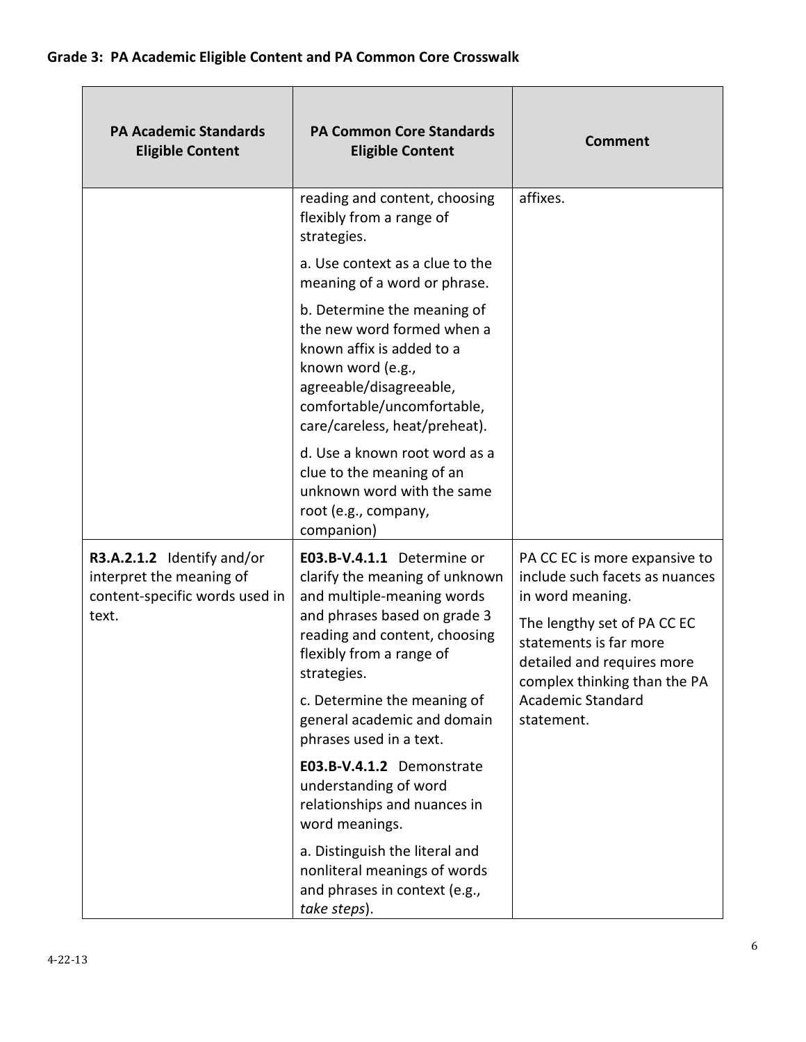| <b>PA Academic Standards</b><br><b>Eligible Content</b>                                           | <b>PA Common Core Standards</b><br><b>Eligible Content</b>                                                                                                                                            | <b>Comment</b>                                                                                                                                                                                                                                       |
|---------------------------------------------------------------------------------------------------|-------------------------------------------------------------------------------------------------------------------------------------------------------------------------------------------------------|------------------------------------------------------------------------------------------------------------------------------------------------------------------------------------------------------------------------------------------------------|
|                                                                                                   | reading and content, choosing<br>flexibly from a range of<br>strategies.                                                                                                                              | affixes.                                                                                                                                                                                                                                             |
|                                                                                                   | a. Use context as a clue to the<br>meaning of a word or phrase.                                                                                                                                       |                                                                                                                                                                                                                                                      |
|                                                                                                   | b. Determine the meaning of<br>the new word formed when a<br>known affix is added to a<br>known word (e.g.,<br>agreeable/disagreeable,<br>comfortable/uncomfortable,<br>care/careless, heat/preheat). |                                                                                                                                                                                                                                                      |
|                                                                                                   | d. Use a known root word as a<br>clue to the meaning of an<br>unknown word with the same<br>root (e.g., company,<br>companion)                                                                        |                                                                                                                                                                                                                                                      |
| R3.A.2.1.2 Identify and/or<br>interpret the meaning of<br>content-specific words used in<br>text. | E03.B-V.4.1.1 Determine or<br>clarify the meaning of unknown<br>and multiple-meaning words<br>and phrases based on grade 3                                                                            | PA CC EC is more expansive to<br>include such facets as nuances<br>in word meaning.<br>The lengthy set of PA CC EC<br>statements is far more<br>detailed and requires more<br>complex thinking than the PA<br><b>Academic Standard</b><br>statement. |
|                                                                                                   | reading and content, choosing<br>flexibly from a range of<br>strategies.                                                                                                                              |                                                                                                                                                                                                                                                      |
| c. Determine the meaning of<br>general academic and domain<br>phrases used in a text.             |                                                                                                                                                                                                       |                                                                                                                                                                                                                                                      |
|                                                                                                   | E03.B-V.4.1.2 Demonstrate<br>understanding of word<br>relationships and nuances in<br>word meanings.                                                                                                  |                                                                                                                                                                                                                                                      |
|                                                                                                   | a. Distinguish the literal and<br>nonliteral meanings of words<br>and phrases in context (e.g.,<br>take steps).                                                                                       |                                                                                                                                                                                                                                                      |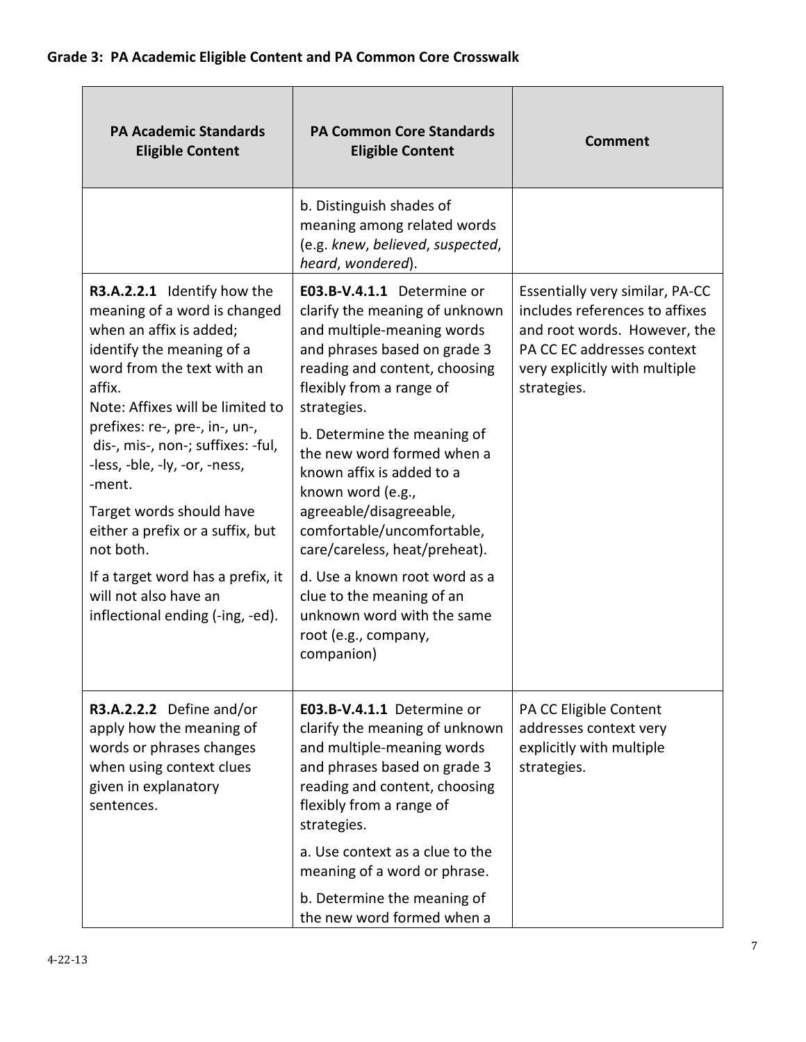| <b>PA Academic Standards</b><br><b>Eligible Content</b>                                                                                                                                                                                                                                                 | <b>PA Common Core Standards</b><br><b>Eligible Content</b>                                                                                                                                                                                                                                       | <b>Comment</b>                                                                                                                                                                  |
|---------------------------------------------------------------------------------------------------------------------------------------------------------------------------------------------------------------------------------------------------------------------------------------------------------|--------------------------------------------------------------------------------------------------------------------------------------------------------------------------------------------------------------------------------------------------------------------------------------------------|---------------------------------------------------------------------------------------------------------------------------------------------------------------------------------|
|                                                                                                                                                                                                                                                                                                         | b. Distinguish shades of<br>meaning among related words<br>(e.g. knew, believed, suspected,<br>heard, wondered).                                                                                                                                                                                 |                                                                                                                                                                                 |
| R3.A.2.2.1 Identify how the<br>meaning of a word is changed<br>when an affix is added;<br>identify the meaning of a<br>word from the text with an<br>affix.<br>Note: Affixes will be limited to<br>prefixes: re-, pre-, in-, un-,<br>dis-, mis-, non-; suffixes: -ful,<br>-less, -ble, -ly, -or, -ness, | E03.B-V.4.1.1 Determine or<br>clarify the meaning of unknown<br>and multiple-meaning words<br>and phrases based on grade 3<br>reading and content, choosing<br>flexibly from a range of<br>strategies.<br>b. Determine the meaning of<br>the new word formed when a<br>known affix is added to a | Essentially very similar, PA-CC<br>includes references to affixes<br>and root words. However, the<br>PA CC EC addresses context<br>very explicitly with multiple<br>strategies. |
| -ment.<br>Target words should have<br>either a prefix or a suffix, but<br>not both.                                                                                                                                                                                                                     | known word (e.g.,<br>agreeable/disagreeable,<br>comfortable/uncomfortable,<br>care/careless, heat/preheat).                                                                                                                                                                                      |                                                                                                                                                                                 |
| If a target word has a prefix, it<br>will not also have an<br>inflectional ending (-ing, -ed).                                                                                                                                                                                                          | d. Use a known root word as a<br>clue to the meaning of an<br>unknown word with the same<br>root (e.g., company,<br>companion)                                                                                                                                                                   |                                                                                                                                                                                 |
| R3.A.2.2.2 Define and/or<br>apply how the meaning of<br>words or phrases changes<br>when using context clues<br>given in explanatory<br>sentences.                                                                                                                                                      | E03.B-V.4.1.1 Determine or<br>clarify the meaning of unknown<br>and multiple-meaning words<br>and phrases based on grade 3<br>reading and content, choosing<br>flexibly from a range of<br>strategies.                                                                                           | PA CC Eligible Content<br>addresses context very<br>explicitly with multiple<br>strategies.                                                                                     |
|                                                                                                                                                                                                                                                                                                         | a. Use context as a clue to the<br>meaning of a word or phrase.                                                                                                                                                                                                                                  |                                                                                                                                                                                 |
|                                                                                                                                                                                                                                                                                                         | b. Determine the meaning of<br>the new word formed when a                                                                                                                                                                                                                                        |                                                                                                                                                                                 |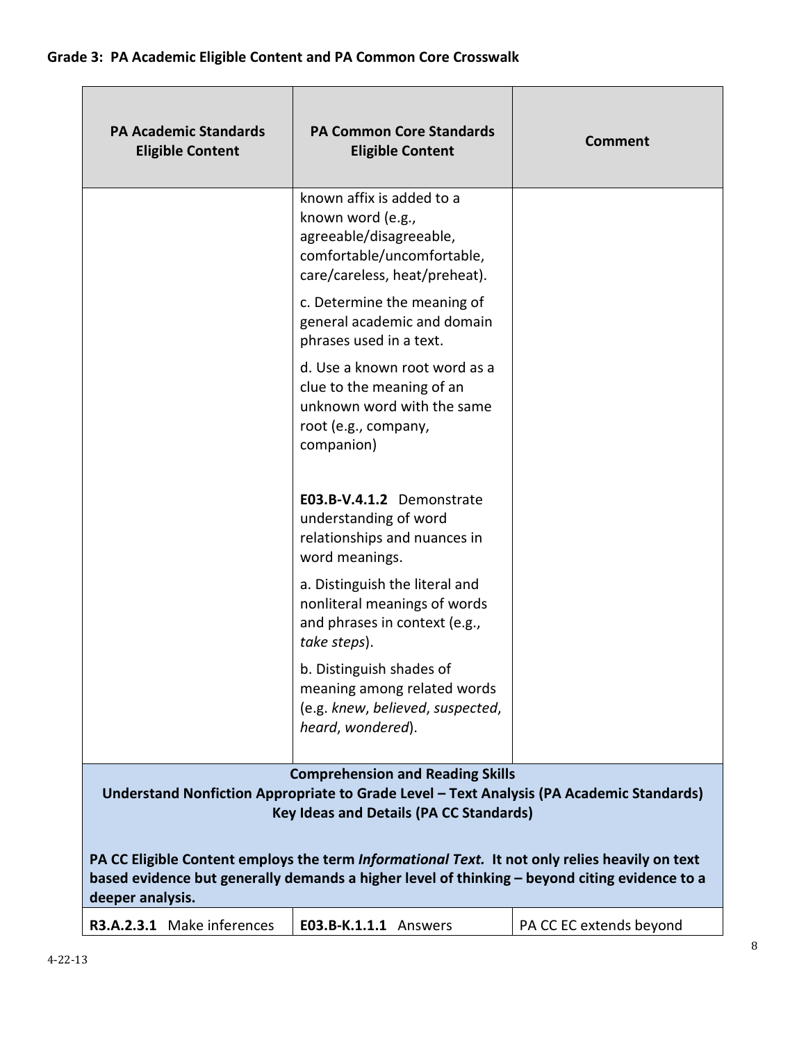| <b>PA Academic Standards</b><br><b>Eligible Content</b>                                                                                                                                                             | <b>PA Common Core Standards</b><br><b>Eligible Content</b>                                                                               | <b>Comment</b>          |
|---------------------------------------------------------------------------------------------------------------------------------------------------------------------------------------------------------------------|------------------------------------------------------------------------------------------------------------------------------------------|-------------------------|
|                                                                                                                                                                                                                     | known affix is added to a<br>known word (e.g.,<br>agreeable/disagreeable,<br>comfortable/uncomfortable,<br>care/careless, heat/preheat). |                         |
|                                                                                                                                                                                                                     | c. Determine the meaning of<br>general academic and domain<br>phrases used in a text.                                                    |                         |
|                                                                                                                                                                                                                     | d. Use a known root word as a<br>clue to the meaning of an<br>unknown word with the same<br>root (e.g., company,<br>companion)           |                         |
|                                                                                                                                                                                                                     | E03.B-V.4.1.2 Demonstrate<br>understanding of word<br>relationships and nuances in<br>word meanings.                                     |                         |
|                                                                                                                                                                                                                     | a. Distinguish the literal and<br>nonliteral meanings of words<br>and phrases in context (e.g.,<br>take steps).                          |                         |
|                                                                                                                                                                                                                     | b. Distinguish shades of<br>meaning among related words<br>(e.g. knew, believed, suspected,<br>heard, wondered).                         |                         |
| <b>Comprehension and Reading Skills</b><br>Understand Nonfiction Appropriate to Grade Level - Text Analysis (PA Academic Standards)<br><b>Key Ideas and Details (PA CC Standards)</b>                               |                                                                                                                                          |                         |
| PA CC Eligible Content employs the term Informational Text. It not only relies heavily on text<br>based evidence but generally demands a higher level of thinking - beyond citing evidence to a<br>deeper analysis. |                                                                                                                                          |                         |
| R3.A.2.3.1 Make inferences                                                                                                                                                                                          | E03.B-K.1.1.1 Answers                                                                                                                    | PA CC EC extends beyond |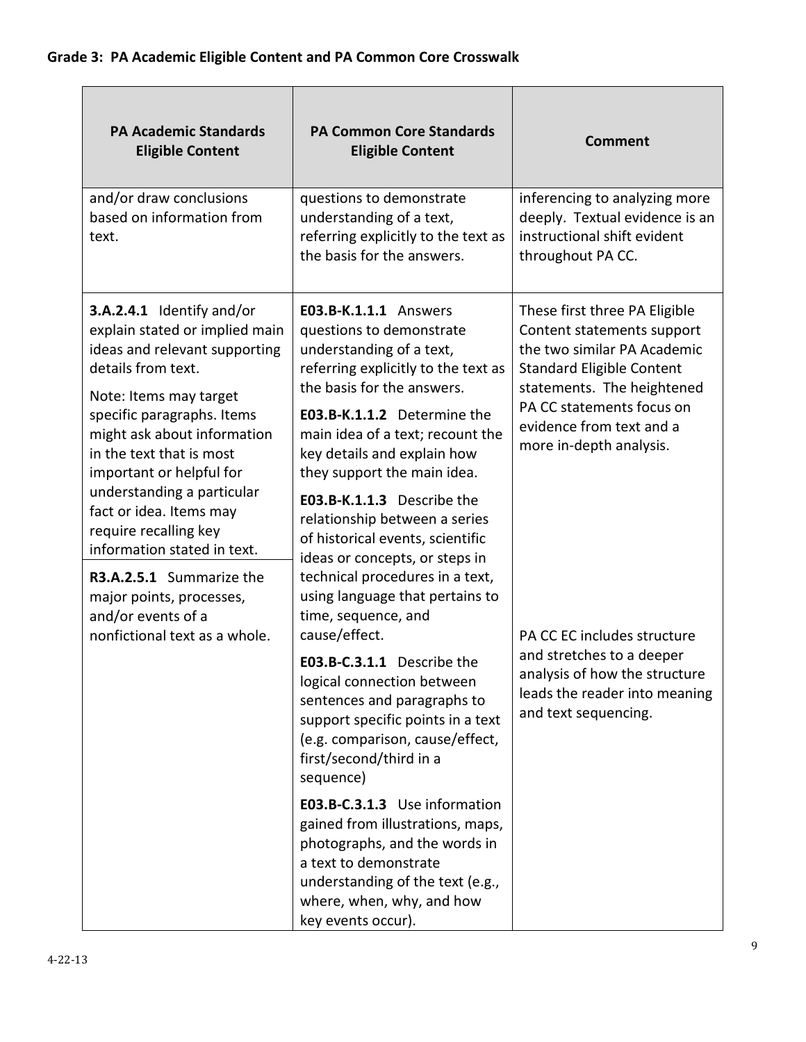| <b>PA Academic Standards</b><br><b>Eligible Content</b>                                                                                                                                                                                                                                                                                                                                                                                                          | <b>PA Common Core Standards</b><br><b>Eligible Content</b>                                                                                                                                                                                                                                                                                                                                                                                                                                                                   | <b>Comment</b>                                                                                                                                                                                                                                                                                                                                                                                         |
|------------------------------------------------------------------------------------------------------------------------------------------------------------------------------------------------------------------------------------------------------------------------------------------------------------------------------------------------------------------------------------------------------------------------------------------------------------------|------------------------------------------------------------------------------------------------------------------------------------------------------------------------------------------------------------------------------------------------------------------------------------------------------------------------------------------------------------------------------------------------------------------------------------------------------------------------------------------------------------------------------|--------------------------------------------------------------------------------------------------------------------------------------------------------------------------------------------------------------------------------------------------------------------------------------------------------------------------------------------------------------------------------------------------------|
| and/or draw conclusions<br>based on information from<br>text.                                                                                                                                                                                                                                                                                                                                                                                                    | questions to demonstrate<br>understanding of a text,<br>referring explicitly to the text as<br>the basis for the answers.                                                                                                                                                                                                                                                                                                                                                                                                    | inferencing to analyzing more<br>deeply. Textual evidence is an<br>instructional shift evident<br>throughout PA CC.                                                                                                                                                                                                                                                                                    |
| 3.A.2.4.1 Identify and/or<br>explain stated or implied main<br>ideas and relevant supporting<br>details from text.<br>Note: Items may target<br>specific paragraphs. Items<br>might ask about information<br>in the text that is most<br>important or helpful for<br>understanding a particular<br>fact or idea. Items may<br>require recalling key<br>information stated in text.<br>R3.A.2.5.1 Summarize the<br>major points, processes,<br>and/or events of a | <b>E03.B-K.1.1.1</b> Answers<br>questions to demonstrate<br>understanding of a text,<br>referring explicitly to the text as<br>the basis for the answers.<br>E03.B-K.1.1.2 Determine the<br>main idea of a text; recount the<br>key details and explain how<br>they support the main idea.<br>E03.B-K.1.1.3 Describe the<br>relationship between a series<br>of historical events, scientific<br>ideas or concepts, or steps in<br>technical procedures in a text,<br>using language that pertains to<br>time, sequence, and | These first three PA Eligible<br>Content statements support<br>the two similar PA Academic<br><b>Standard Eligible Content</b><br>statements. The heightened<br>PA CC statements focus on<br>evidence from text and a<br>more in-depth analysis.<br>PA CC EC includes structure<br>and stretches to a deeper<br>analysis of how the structure<br>leads the reader into meaning<br>and text sequencing. |
| nonfictional text as a whole.                                                                                                                                                                                                                                                                                                                                                                                                                                    | cause/effect.<br>E03.B-C.3.1.1 Describe the<br>logical connection between<br>sentences and paragraphs to<br>support specific points in a text<br>(e.g. comparison, cause/effect,<br>first/second/third in a<br>sequence)                                                                                                                                                                                                                                                                                                     |                                                                                                                                                                                                                                                                                                                                                                                                        |
|                                                                                                                                                                                                                                                                                                                                                                                                                                                                  | E03.B-C.3.1.3 Use information<br>gained from illustrations, maps,<br>photographs, and the words in<br>a text to demonstrate<br>understanding of the text (e.g.,<br>where, when, why, and how<br>key events occur).                                                                                                                                                                                                                                                                                                           |                                                                                                                                                                                                                                                                                                                                                                                                        |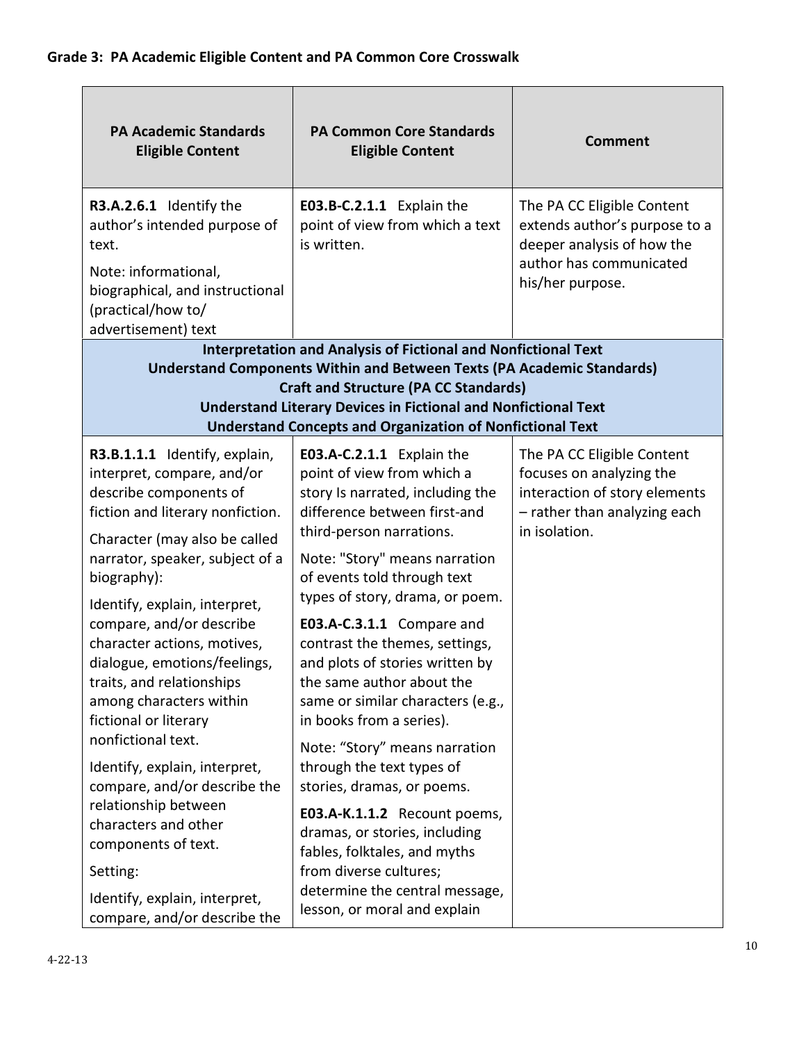| <b>PA Academic Standards</b><br><b>Eligible Content</b>                                                                                                                                                                                       | <b>PA Common Core Standards</b><br><b>Eligible Content</b>                                                                                                                                                                                                                 | <b>Comment</b>                                                                                                                           |  |
|-----------------------------------------------------------------------------------------------------------------------------------------------------------------------------------------------------------------------------------------------|----------------------------------------------------------------------------------------------------------------------------------------------------------------------------------------------------------------------------------------------------------------------------|------------------------------------------------------------------------------------------------------------------------------------------|--|
| R3.A.2.6.1 Identify the<br>author's intended purpose of<br>text.<br>Note: informational,<br>biographical, and instructional<br>(practical/how to/<br>advertisement) text                                                                      | E03.B-C.2.1.1 Explain the<br>point of view from which a text<br>is written.                                                                                                                                                                                                | The PA CC Eligible Content<br>extends author's purpose to a<br>deeper analysis of how the<br>author has communicated<br>his/her purpose. |  |
|                                                                                                                                                                                                                                               | <b>Interpretation and Analysis of Fictional and Nonfictional Text</b>                                                                                                                                                                                                      |                                                                                                                                          |  |
|                                                                                                                                                                                                                                               | <b>Understand Components Within and Between Texts (PA Academic Standards)</b><br><b>Craft and Structure (PA CC Standards)</b><br><b>Understand Literary Devices in Fictional and Nonfictional Text</b><br><b>Understand Concepts and Organization of Nonfictional Text</b> |                                                                                                                                          |  |
| R3.B.1.1.1 Identify, explain,<br>interpret, compare, and/or<br>describe components of<br>fiction and literary nonfiction.<br>Character (may also be called<br>narrator, speaker, subject of a<br>biography):<br>Identify, explain, interpret, | E03.A-C.2.1.1 Explain the<br>point of view from which a<br>story Is narrated, including the<br>difference between first-and<br>third-person narrations.<br>Note: "Story" means narration<br>of events told through text<br>types of story, drama, or poem.                 | The PA CC Eligible Content<br>focuses on analyzing the<br>interaction of story elements<br>- rather than analyzing each<br>in isolation. |  |
| compare, and/or describe<br>character actions, motives,<br>dialogue, emotions/feelings,<br>traits, and relationships<br>among characters within<br>fictional or literary<br>nonfictional text.                                                | E03.A-C.3.1.1 Compare and<br>contrast the themes, settings,<br>and plots of stories written by<br>the same author about the<br>same or similar characters (e.g.,<br>in books from a series).<br>Note: "Story" means narration                                              |                                                                                                                                          |  |
| Identify, explain, interpret,<br>compare, and/or describe the<br>relationship between<br>characters and other<br>components of text.<br>Setting:<br>Identify, explain, interpret,                                                             | through the text types of<br>stories, dramas, or poems.<br>E03.A-K.1.1.2 Recount poems,<br>dramas, or stories, including<br>fables, folktales, and myths<br>from diverse cultures;<br>determine the central message,<br>lesson, or moral and explain                       |                                                                                                                                          |  |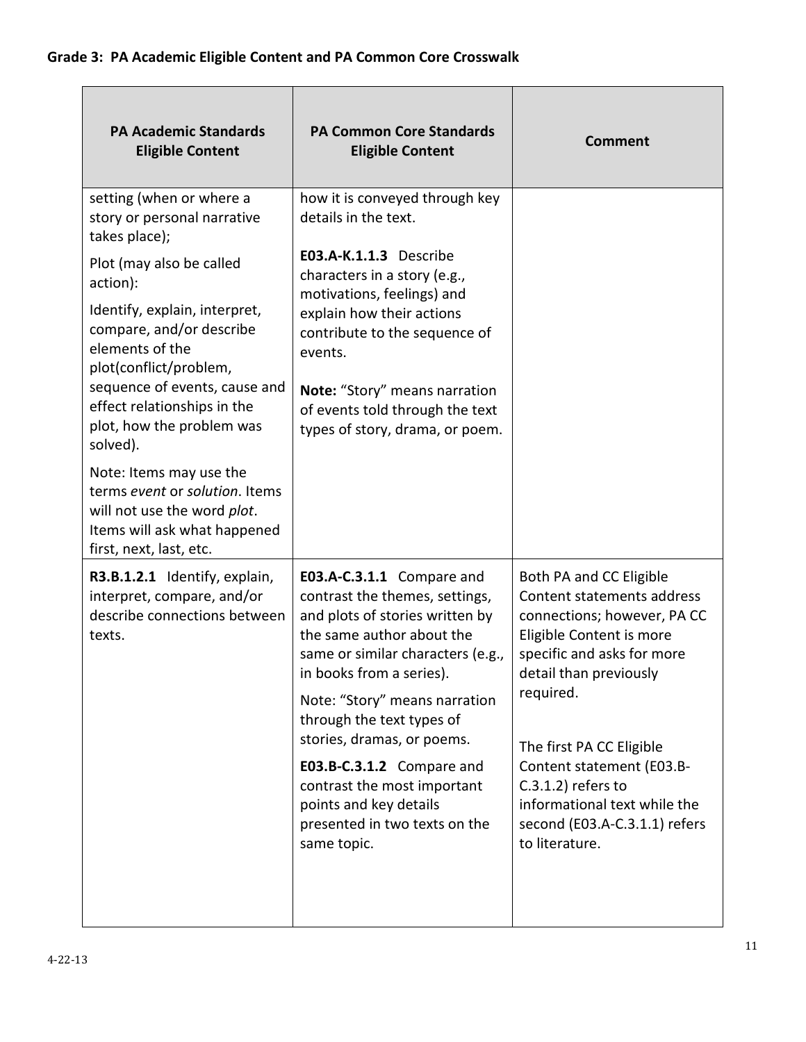| <b>PA Academic Standards</b><br><b>Eligible Content</b>                                                                                                                                                                                                                                                                                                                                                                         | <b>PA Common Core Standards</b><br><b>Eligible Content</b>                                                                                                                                                                                                                                                                                                                                                                     | <b>Comment</b>                                                                                                                                                                                                                                                                                                                                             |
|---------------------------------------------------------------------------------------------------------------------------------------------------------------------------------------------------------------------------------------------------------------------------------------------------------------------------------------------------------------------------------------------------------------------------------|--------------------------------------------------------------------------------------------------------------------------------------------------------------------------------------------------------------------------------------------------------------------------------------------------------------------------------------------------------------------------------------------------------------------------------|------------------------------------------------------------------------------------------------------------------------------------------------------------------------------------------------------------------------------------------------------------------------------------------------------------------------------------------------------------|
| setting (when or where a<br>story or personal narrative<br>takes place);<br>Plot (may also be called<br>action):<br>Identify, explain, interpret,<br>compare, and/or describe<br>elements of the<br>plot(conflict/problem,<br>sequence of events, cause and<br>effect relationships in the<br>plot, how the problem was<br>solved).<br>Note: Items may use the<br>terms event or solution. Items<br>will not use the word plot. | how it is conveyed through key<br>details in the text.<br>E03.A-K.1.1.3 Describe<br>characters in a story (e.g.,<br>motivations, feelings) and<br>explain how their actions<br>contribute to the sequence of<br>events.<br>Note: "Story" means narration<br>of events told through the text<br>types of story, drama, or poem.                                                                                                 |                                                                                                                                                                                                                                                                                                                                                            |
| Items will ask what happened<br>first, next, last, etc.<br>R3.B.1.2.1 Identify, explain,<br>interpret, compare, and/or<br>describe connections between<br>texts.                                                                                                                                                                                                                                                                | E03.A-C.3.1.1 Compare and<br>contrast the themes, settings,<br>and plots of stories written by<br>the same author about the<br>same or similar characters (e.g.,<br>in books from a series).<br>Note: "Story" means narration<br>through the text types of<br>stories, dramas, or poems.<br>E03.B-C.3.1.2 Compare and<br>contrast the most important<br>points and key details<br>presented in two texts on the<br>same topic. | Both PA and CC Eligible<br>Content statements address<br>connections; however, PA CC<br>Eligible Content is more<br>specific and asks for more<br>detail than previously<br>required.<br>The first PA CC Eligible<br>Content statement (E03.B-<br>$C.3.1.2$ ) refers to<br>informational text while the<br>second (E03.A-C.3.1.1) refers<br>to literature. |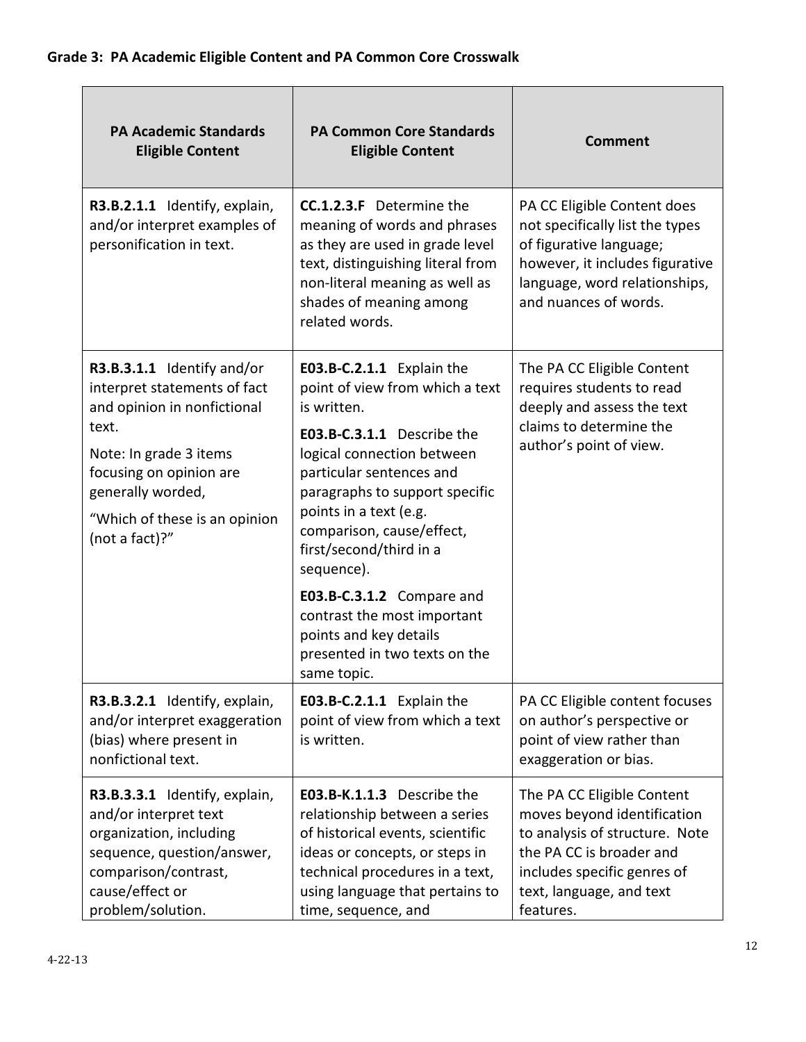| <b>PA Academic Standards</b><br><b>Eligible Content</b>                                                                                                                                                                         | <b>PA Common Core Standards</b><br><b>Eligible Content</b>                                                                                                                                                                                                                                                                                                                                                                                  | <b>Comment</b>                                                                                                                                                                                  |
|---------------------------------------------------------------------------------------------------------------------------------------------------------------------------------------------------------------------------------|---------------------------------------------------------------------------------------------------------------------------------------------------------------------------------------------------------------------------------------------------------------------------------------------------------------------------------------------------------------------------------------------------------------------------------------------|-------------------------------------------------------------------------------------------------------------------------------------------------------------------------------------------------|
| R3.B.2.1.1 Identify, explain,<br>and/or interpret examples of<br>personification in text.                                                                                                                                       | <b>CC.1.2.3.F</b> Determine the<br>meaning of words and phrases<br>as they are used in grade level<br>text, distinguishing literal from<br>non-literal meaning as well as<br>shades of meaning among<br>related words.                                                                                                                                                                                                                      | PA CC Eligible Content does<br>not specifically list the types<br>of figurative language;<br>however, it includes figurative<br>language, word relationships,<br>and nuances of words.          |
| R3.B.3.1.1 Identify and/or<br>interpret statements of fact<br>and opinion in nonfictional<br>text.<br>Note: In grade 3 items<br>focusing on opinion are<br>generally worded,<br>"Which of these is an opinion<br>(not a fact)?" | E03.B-C.2.1.1 Explain the<br>point of view from which a text<br>is written.<br>E03.B-C.3.1.1 Describe the<br>logical connection between<br>particular sentences and<br>paragraphs to support specific<br>points in a text (e.g.<br>comparison, cause/effect,<br>first/second/third in a<br>sequence).<br>E03.B-C.3.1.2 Compare and<br>contrast the most important<br>points and key details<br>presented in two texts on the<br>same topic. | The PA CC Eligible Content<br>requires students to read<br>deeply and assess the text<br>claims to determine the<br>author's point of view.                                                     |
| R3.B.3.2.1 Identify, explain,<br>and/or interpret exaggeration<br>(bias) where present in<br>nonfictional text.                                                                                                                 | E03.B-C.2.1.1 Explain the<br>point of view from which a text<br>is written.                                                                                                                                                                                                                                                                                                                                                                 | PA CC Eligible content focuses<br>on author's perspective or<br>point of view rather than<br>exaggeration or bias.                                                                              |
| R3.B.3.3.1 Identify, explain,<br>and/or interpret text<br>organization, including<br>sequence, question/answer,<br>comparison/contrast,<br>cause/effect or<br>problem/solution.                                                 | E03.B-K.1.1.3 Describe the<br>relationship between a series<br>of historical events, scientific<br>ideas or concepts, or steps in<br>technical procedures in a text,<br>using language that pertains to<br>time, sequence, and                                                                                                                                                                                                              | The PA CC Eligible Content<br>moves beyond identification<br>to analysis of structure. Note<br>the PA CC is broader and<br>includes specific genres of<br>text, language, and text<br>features. |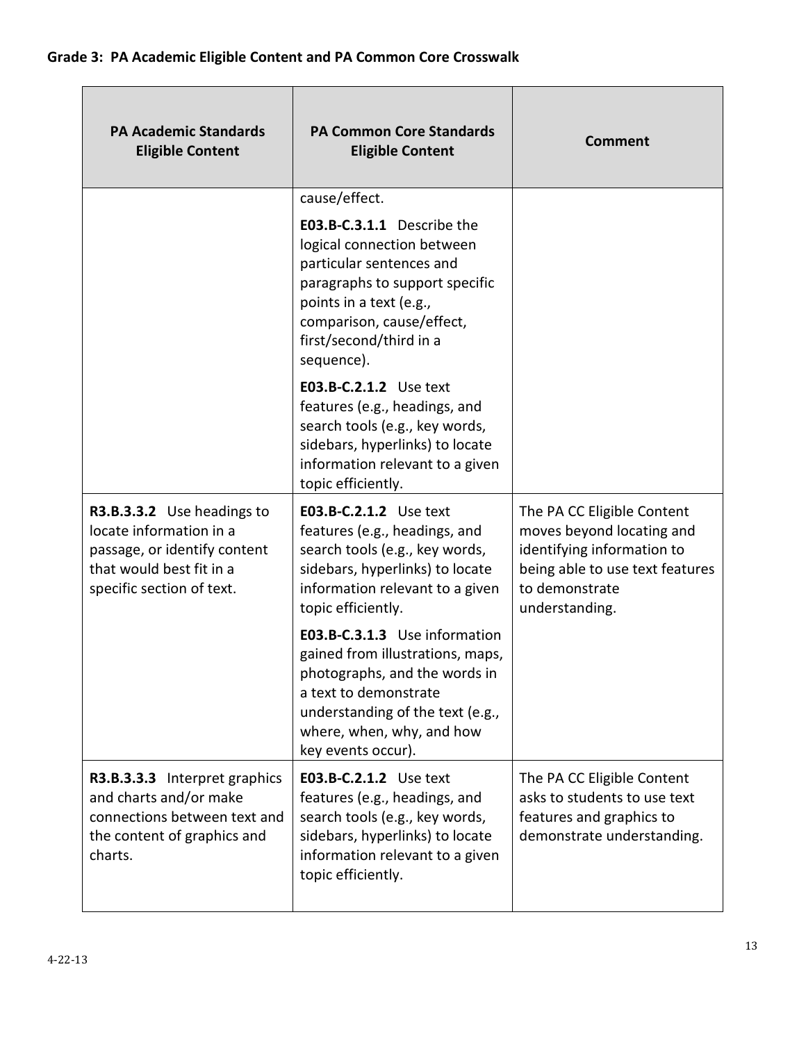| <b>PA Academic Standards</b><br><b>Eligible Content</b>                                                                                        | <b>PA Common Core Standards</b><br><b>Eligible Content</b>                                                                                                                                                                               | <b>Comment</b>                                                                                                                                               |
|------------------------------------------------------------------------------------------------------------------------------------------------|------------------------------------------------------------------------------------------------------------------------------------------------------------------------------------------------------------------------------------------|--------------------------------------------------------------------------------------------------------------------------------------------------------------|
|                                                                                                                                                | cause/effect.<br>E03.B-C.3.1.1 Describe the<br>logical connection between<br>particular sentences and<br>paragraphs to support specific<br>points in a text (e.g.,<br>comparison, cause/effect,<br>first/second/third in a<br>sequence). |                                                                                                                                                              |
|                                                                                                                                                | E03.B-C.2.1.2 Use text<br>features (e.g., headings, and<br>search tools (e.g., key words,<br>sidebars, hyperlinks) to locate<br>information relevant to a given<br>topic efficiently.                                                    |                                                                                                                                                              |
| R3.B.3.3.2 Use headings to<br>locate information in a<br>passage, or identify content<br>that would best fit in a<br>specific section of text. | E03.B-C.2.1.2 Use text<br>features (e.g., headings, and<br>search tools (e.g., key words,<br>sidebars, hyperlinks) to locate<br>information relevant to a given<br>topic efficiently.                                                    | The PA CC Eligible Content<br>moves beyond locating and<br>identifying information to<br>being able to use text features<br>to demonstrate<br>understanding. |
|                                                                                                                                                | E03.B-C.3.1.3 Use information<br>gained from illustrations, maps,<br>photographs, and the words in<br>a text to demonstrate<br>understanding of the text (e.g.,<br>where, when, why, and how<br>key events occur).                       |                                                                                                                                                              |
| R3.B.3.3.3 Interpret graphics<br>and charts and/or make<br>connections between text and<br>the content of graphics and<br>charts.              | E03.B-C.2.1.2 Use text<br>features (e.g., headings, and<br>search tools (e.g., key words,<br>sidebars, hyperlinks) to locate<br>information relevant to a given<br>topic efficiently.                                                    | The PA CC Eligible Content<br>asks to students to use text<br>features and graphics to<br>demonstrate understanding.                                         |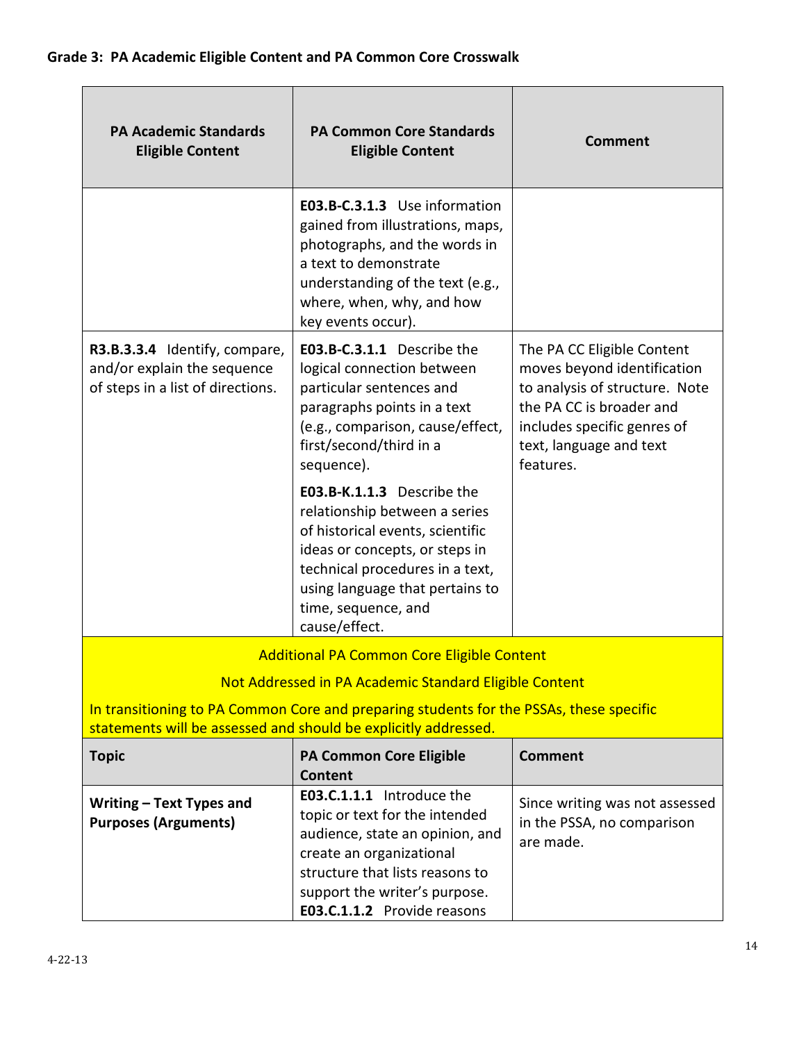| <b>PA Academic Standards</b><br><b>Eligible Content</b>                                                                                                    | <b>PA Common Core Standards</b><br><b>Eligible Content</b>                                                                                                                                                                                      | <b>Comment</b>                                                                                                                                                                                 |  |  |
|------------------------------------------------------------------------------------------------------------------------------------------------------------|-------------------------------------------------------------------------------------------------------------------------------------------------------------------------------------------------------------------------------------------------|------------------------------------------------------------------------------------------------------------------------------------------------------------------------------------------------|--|--|
|                                                                                                                                                            | E03.B-C.3.1.3 Use information<br>gained from illustrations, maps,<br>photographs, and the words in<br>a text to demonstrate<br>understanding of the text (e.g.,<br>where, when, why, and how<br>key events occur).                              |                                                                                                                                                                                                |  |  |
| R3.B.3.3.4 Identify, compare,<br>and/or explain the sequence<br>of steps in a list of directions.                                                          | E03.B-C.3.1.1 Describe the<br>logical connection between<br>particular sentences and<br>paragraphs points in a text<br>(e.g., comparison, cause/effect,<br>first/second/third in a<br>sequence).                                                | The PA CC Eligible Content<br>moves beyond identification<br>to analysis of structure. Note<br>the PA CC is broader and<br>includes specific genres of<br>text, language and text<br>features. |  |  |
|                                                                                                                                                            | E03.B-K.1.1.3 Describe the<br>relationship between a series<br>of historical events, scientific<br>ideas or concepts, or steps in<br>technical procedures in a text,<br>using language that pertains to<br>time, sequence, and<br>cause/effect. |                                                                                                                                                                                                |  |  |
|                                                                                                                                                            | <b>Additional PA Common Core Eligible Content</b>                                                                                                                                                                                               |                                                                                                                                                                                                |  |  |
| Not Addressed in PA Academic Standard Eligible Content                                                                                                     |                                                                                                                                                                                                                                                 |                                                                                                                                                                                                |  |  |
| In transitioning to PA Common Core and preparing students for the PSSAs, these specific<br>statements will be assessed and should be explicitly addressed. |                                                                                                                                                                                                                                                 |                                                                                                                                                                                                |  |  |
| <b>Topic</b>                                                                                                                                               | <b>PA Common Core Eligible</b><br><b>Content</b>                                                                                                                                                                                                | <b>Comment</b>                                                                                                                                                                                 |  |  |
| Writing - Text Types and<br><b>Purposes (Arguments)</b>                                                                                                    | E03.C.1.1.1 Introduce the<br>topic or text for the intended<br>audience, state an opinion, and<br>create an organizational<br>structure that lists reasons to<br>support the writer's purpose.<br>E03.C.1.1.2 Provide reasons                   | Since writing was not assessed<br>in the PSSA, no comparison<br>are made.                                                                                                                      |  |  |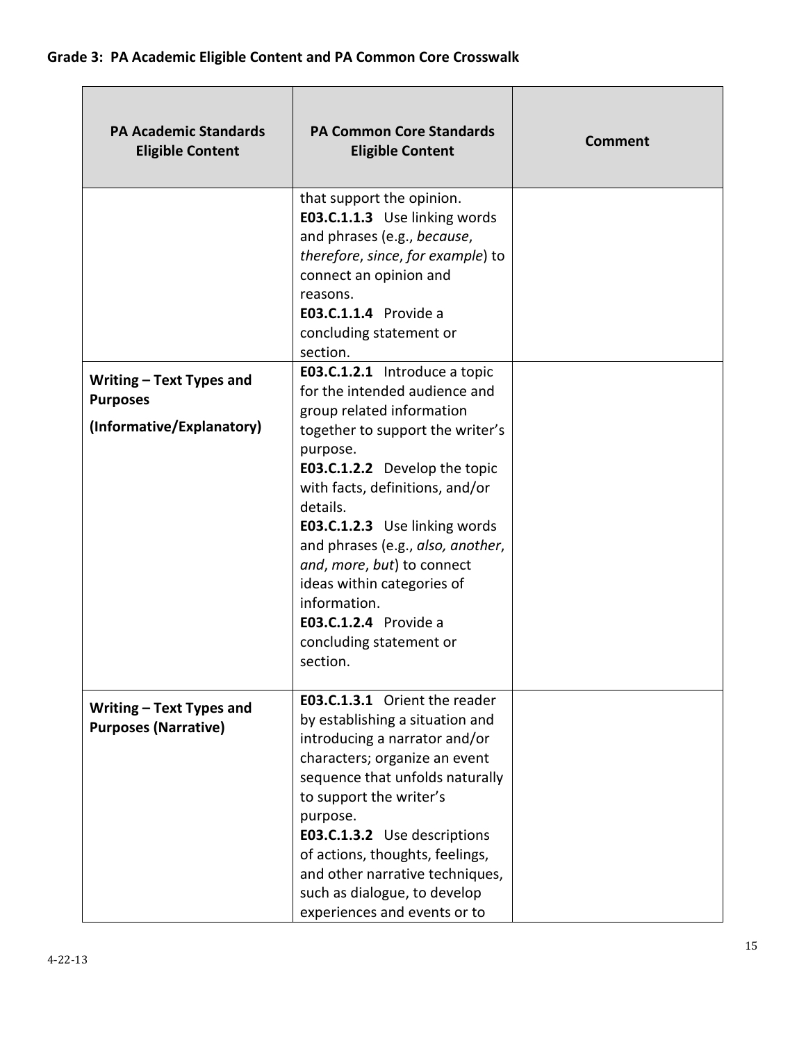| <b>PA Academic Standards</b><br><b>Eligible Content</b>                  | <b>PA Common Core Standards</b><br><b>Eligible Content</b>                                                                                                                                                                                                                                                                                                                                                                                           | <b>Comment</b> |
|--------------------------------------------------------------------------|------------------------------------------------------------------------------------------------------------------------------------------------------------------------------------------------------------------------------------------------------------------------------------------------------------------------------------------------------------------------------------------------------------------------------------------------------|----------------|
|                                                                          | that support the opinion.<br>E03.C.1.1.3 Use linking words<br>and phrases (e.g., because,<br>therefore, since, for example) to<br>connect an opinion and<br>reasons.<br><b>E03.C.1.1.4</b> Provide a<br>concluding statement or<br>section.                                                                                                                                                                                                          |                |
| Writing – Text Types and<br><b>Purposes</b><br>(Informative/Explanatory) | E03.C.1.2.1 Introduce a topic<br>for the intended audience and<br>group related information<br>together to support the writer's<br>purpose.<br>E03.C.1.2.2 Develop the topic<br>with facts, definitions, and/or<br>details.<br>E03.C.1.2.3 Use linking words<br>and phrases (e.g., also, another,<br>and, more, but) to connect<br>ideas within categories of<br>information.<br><b>E03.C.1.2.4</b> Provide a<br>concluding statement or<br>section. |                |
| Writing – Text Types and<br><b>Purposes (Narrative)</b>                  | <b>E03.C.1.3.1</b> Orient the reader<br>by establishing a situation and<br>introducing a narrator and/or<br>characters; organize an event<br>sequence that unfolds naturally<br>to support the writer's<br>purpose.<br>E03.C.1.3.2 Use descriptions<br>of actions, thoughts, feelings,<br>and other narrative techniques,<br>such as dialogue, to develop<br>experiences and events or to                                                            |                |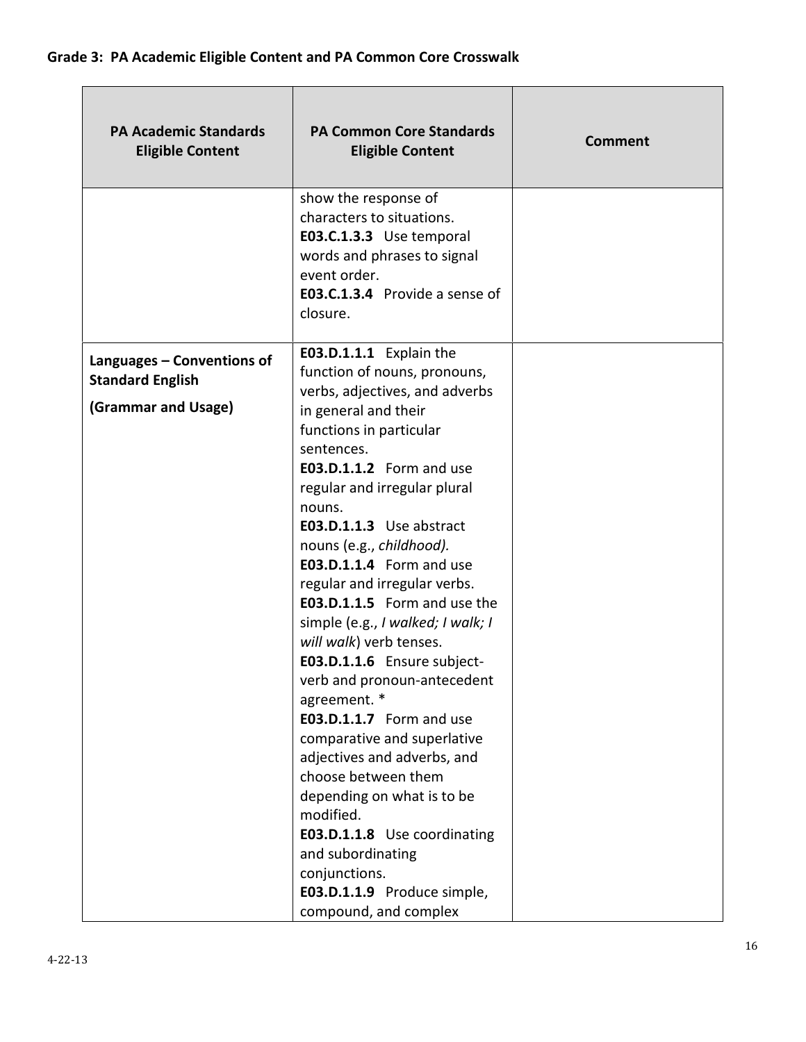| <b>PA Academic Standards</b><br><b>Eligible Content</b> | <b>PA Common Core Standards</b><br><b>Eligible Content</b>                                                                                                                                                                                                                                                                                                                                                                                                                                                                                                                                                                                                                                                                                      | Comment |
|---------------------------------------------------------|-------------------------------------------------------------------------------------------------------------------------------------------------------------------------------------------------------------------------------------------------------------------------------------------------------------------------------------------------------------------------------------------------------------------------------------------------------------------------------------------------------------------------------------------------------------------------------------------------------------------------------------------------------------------------------------------------------------------------------------------------|---------|
|                                                         | show the response of<br>characters to situations.<br>E03.C.1.3.3 Use temporal<br>words and phrases to signal<br>event order.<br>E03.C.1.3.4 Provide a sense of<br>closure.                                                                                                                                                                                                                                                                                                                                                                                                                                                                                                                                                                      |         |
| Languages - Conventions of<br><b>Standard English</b>   | E03.D.1.1.1 Explain the<br>function of nouns, pronouns,                                                                                                                                                                                                                                                                                                                                                                                                                                                                                                                                                                                                                                                                                         |         |
| (Grammar and Usage)                                     | verbs, adjectives, and adverbs<br>in general and their<br>functions in particular<br>sentences.<br>E03.D.1.1.2 Form and use<br>regular and irregular plural<br>nouns.<br>E03.D.1.1.3 Use abstract<br>nouns (e.g., childhood).<br>E03.D.1.1.4 Form and use<br>regular and irregular verbs.<br>E03.D.1.1.5 Form and use the<br>simple (e.g., I walked; I walk; I<br>will walk) verb tenses.<br>E03.D.1.1.6 Ensure subject-<br>verb and pronoun-antecedent<br>agreement. *<br><b>E03.D.1.1.7</b> Form and use<br>comparative and superlative<br>adjectives and adverbs, and<br>choose between them<br>depending on what is to be<br>modified.<br>E03.D.1.1.8 Use coordinating<br>and subordinating<br>conjunctions.<br>E03.D.1.1.9 Produce simple, |         |
|                                                         | compound, and complex                                                                                                                                                                                                                                                                                                                                                                                                                                                                                                                                                                                                                                                                                                                           |         |